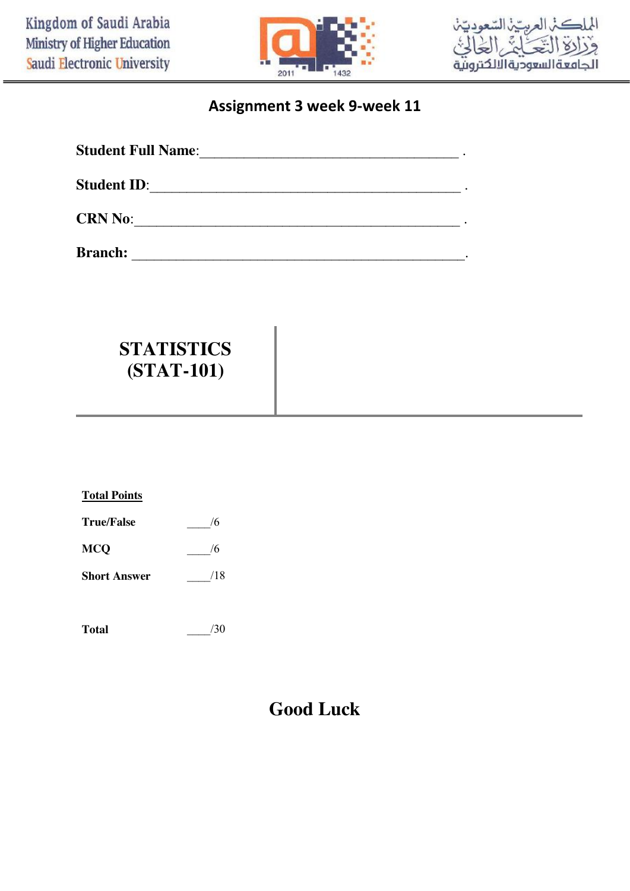



### **Assignment 3 week 9-week 11**

| <b>Student Full Name:</b> |  |
|---------------------------|--|
| <b>Student ID:</b>        |  |
| <b>CRN No:</b>            |  |
| <b>Branch:</b>            |  |

# **STATISTICS (STAT-101)**

| томи гоние          |     |
|---------------------|-----|
| <b>True/False</b>   | /6  |
| MCQ                 | /6  |
| <b>Short Answer</b> | /18 |
|                     |     |

**Total Points**

## **Good Luck**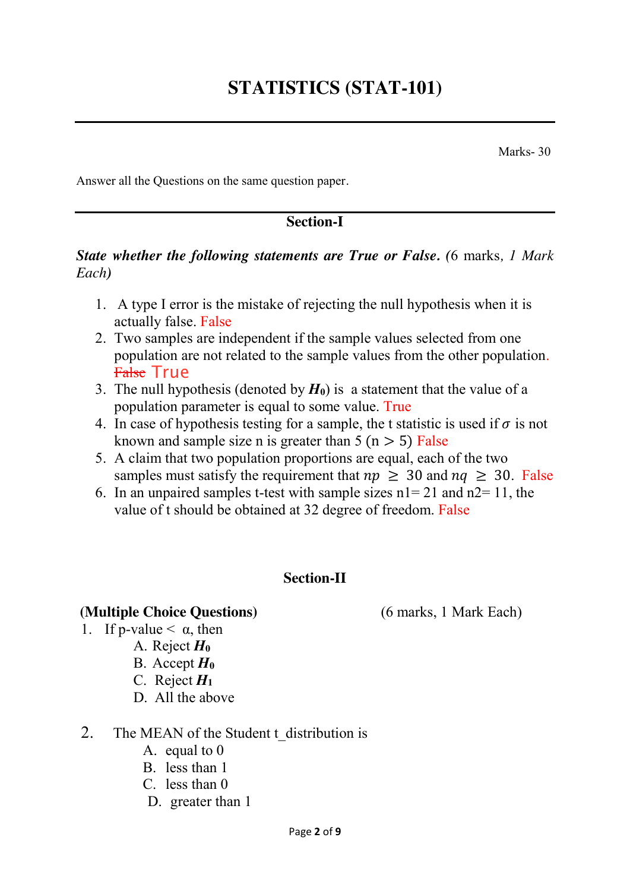Marks- 30

Answer all the Questions on the same question paper*.*

#### **Section-I**

#### *State whether the following statements are True or False. (*6 marks*, 1 Mark Each)*

- 1. A type I error is the mistake of rejecting the null hypothesis when it is actually false. False
- 2. Two samples are independent if the sample values selected from one population are not related to the sample values from the other population. <del>False</del> True
- 3. The null hypothesis (denoted by  $H_0$ ) is a statement that the value of a population parameter is equal to some value. True
- 4. In case of hypothesis testing for a sample, the t statistic is used if  $\sigma$  is not known and sample size n is greater than  $5 (n > 5)$  False
- 5. A claim that two population proportions are equal, each of the two samples must satisfy the requirement that  $np \geq 30$  and  $nq \geq 30$ . False
- 6. In an unpaired samples t-test with sample sizes  $n = 21$  and  $n = 11$ , the value of t should be obtained at 32 degree of freedom. False

#### **Section-II**

#### **(Multiple Choice Questions)** (6 marks, 1 Mark Each)

- 1. If p-value  $\leq \alpha$ , then
	- A. Reject *H***<sup>0</sup>**
		- B. Accept *H***<sup>0</sup>**
		- C. Reject *H***<sup>1</sup>**
		- D. All the above
- 2. The MEAN of the Student t\_distribution is
	- A. equal to 0
	- B. less than 1
	- C. less than 0
	- D. greater than 1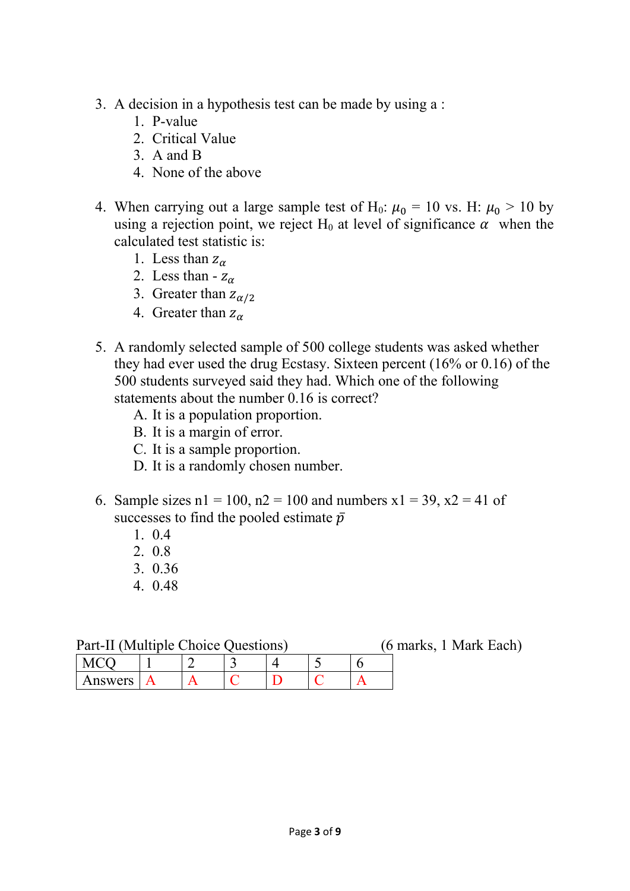- 3. A decision in a hypothesis test can be made by using a :
	- 1. P-value
	- 2. Critical Value
	- 3. A and B
	- 4. None of the above
- 4. When carrying out a large sample test of H<sub>0</sub>:  $\mu_0 = 10$  vs. H:  $\mu_0 > 10$  by using a rejection point, we reject H<sub>0</sub> at level of significance  $\alpha$  when the calculated test statistic is:
	- 1. Less than  $z_\alpha$
	- 2. Less than  $z_{\alpha}$
	- 3. Greater than  $z_{\alpha/2}$
	- 4. Greater than  $z_{\alpha}$
- 5. A randomly selected sample of 500 college students was asked whether they had ever used the drug Ecstasy. Sixteen percent (16% or 0.16) of the 500 students surveyed said they had. Which one of the following statements about the number 0.16 is correct?
	- A. It is a population proportion.
	- B. It is a margin of error.
	- C. It is a sample proportion.
	- D. It is a randomly chosen number.
- 6. Sample sizes  $n1 = 100$ ,  $n2 = 100$  and numbers  $x1 = 39$ ,  $x2 = 41$  of successes to find the pooled estimate  $\bar{p}$ 
	- 1. 0.4
	- 2. 0.8
	- 3. 0.36
	- 4. 0.48

| Part-II (Multiple Choice Questions) |  |  |  |  | (6 marks, 1 Mark Each) |  |
|-------------------------------------|--|--|--|--|------------------------|--|
| $\mathsf{MCO}$                      |  |  |  |  |                        |  |
| Answers A                           |  |  |  |  |                        |  |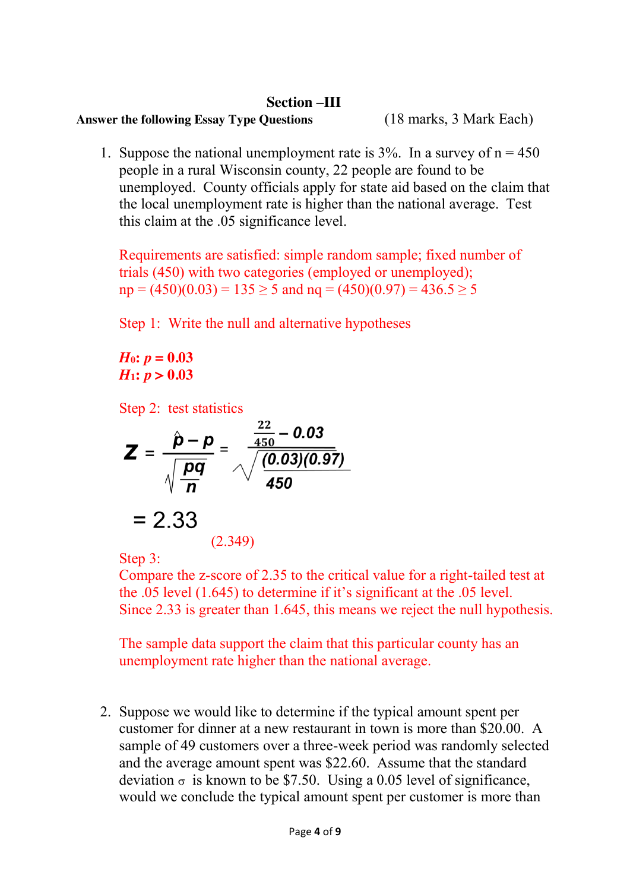#### **Section –III**

#### **Answer the following Essay Type Questions** (18 marks, 3 Mark Each)

1. Suppose the national unemployment rate is  $3\%$ . In a survey of  $n = 450$ people in a rural Wisconsin county, 22 people are found to be unemployed. County officials apply for state aid based on the claim that the local unemployment rate is higher than the national average. Test this claim at the .05 significance level.

Requirements are satisfied: simple random sample; fixed number of trials (450) with two categories (employed or unemployed);  $np = (450)(0.03) = 135 > 5$  and  $nq = (450)(0.97) = 436.5 > 5$ 

Step 1: Write the null and alternative hypotheses

*H*<sub>0</sub>:  $p = 0.03$ *H*<sub>1</sub>:  $p > 0.03$ 

Step 2: test statistics

$$
Z = \frac{\hat{p} - p}{\sqrt{\frac{pq}{n}}} = \frac{\frac{22}{450} - 0.03}{\sqrt{\frac{(0.03)(0.97)}{450}}}
$$

$$
= 2.33
$$

(2.349)

Step 3:

Compare the z-score of 2.35 to the critical value for a right-tailed test at the .05 level (1.645) to determine if it's significant at the .05 level. Since 2.33 is greater than 1.645, this means we reject the null hypothesis.

The sample data support the claim that this particular county has an unemployment rate higher than the national average.

2. Suppose we would like to determine if the typical amount spent per customer for dinner at a new restaurant in town is more than \$20.00. A sample of 49 customers over a three-week period was randomly selected and the average amount spent was \$22.60. Assume that the standard deviation  $\sigma$  is known to be \$7.50. Using a 0.05 level of significance, would we conclude the typical amount spent per customer is more than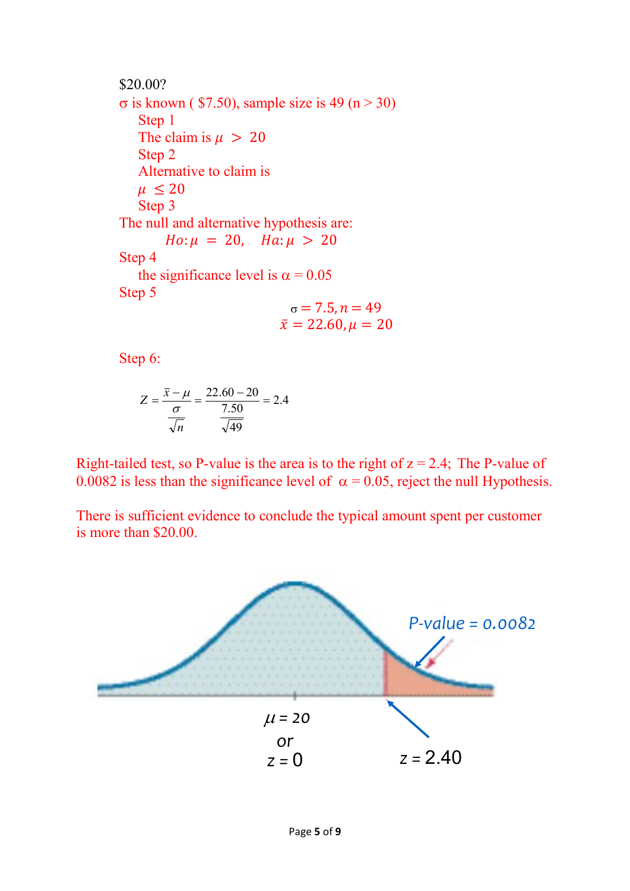\$20.00?  $\sigma$  is known ( \$7.50), sample size is 49 (n > 30) Step 1 The claim is  $\mu > 20$ Step 2 Alternative to claim is  $\mu \leq 20$ Step 3 The null and alternative hypothesis are:  $Ho: \mu = 20$ ,  $Ha: \mu > 20$ Step 4 the significance level is  $\alpha = 0.05$ Step 5  $\sigma = 7.5, n = 49$  $\bar{x} = 22.60, \mu = 20$ 

Step 6:

$$
Z = \frac{\overline{x} - \mu}{\frac{\sigma}{\sqrt{n}}} = \frac{22.60 - 20}{\frac{7.50}{\sqrt{49}}} = 2.4
$$

Right-tailed test, so P-value is the area is to the right of  $z = 2.4$ ; The P-value of 0.0082 is less than the significance level of  $\alpha = 0.05$ , reject the null Hypothesis.

There is sufficient evidence to conclude the typical amount spent per customer is more than \$20.00.

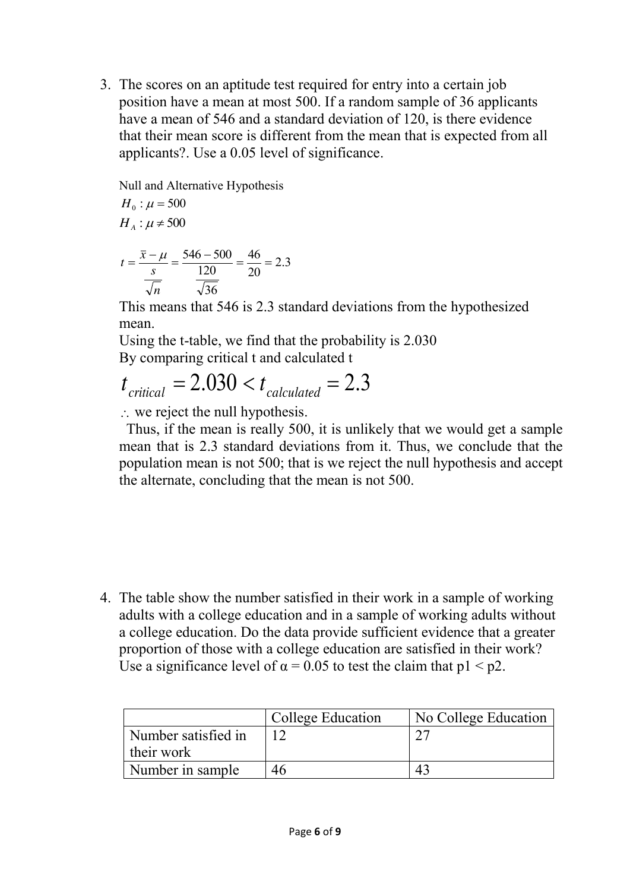3. The scores on an aptitude test required for entry into a certain job position have a mean at most 500. If a random sample of 36 applicants have a mean of 546 and a standard deviation of 120, is there evidence that their mean score is different from the mean that is expected from all applicants?. Use a 0.05 level of significance.

Null and Alternative Hypothesis  $H_0$  :  $\mu$  = 500

 $H_{A}$ :  $\mu \neq 500$ 

$$
t = \frac{\overline{x} - \mu}{\frac{s}{\sqrt{n}}} = \frac{546 - 500}{\frac{120}{\sqrt{36}}} = \frac{46}{20} = 2.3
$$

This means that 546 is 2.3 standard deviations from the hypothesized mean.

Using the t-table, we find that the probability is 2.030 By comparing critical t and calculated t

$$
t_{critical} = 2.030 < t_{calculated} = 2.3
$$

 $\therefore$  we reject the null hypothesis.

 Thus, if the mean is really 500, it is unlikely that we would get a sample mean that is 2.3 standard deviations from it. Thus, we conclude that the population mean is not 500; that is we reject the null hypothesis and accept the alternate, concluding that the mean is not 500.

4. The table show the number satisfied in their work in a sample of working adults with a college education and in a sample of working adults without a college education. Do the data provide sufficient evidence that a greater proportion of those with a college education are satisfied in their work? Use a significance level of  $\alpha = 0.05$  to test the claim that  $p1 < p2$ .

|                     | College Education | No College Education |
|---------------------|-------------------|----------------------|
| Number satisfied in |                   |                      |
| their work          |                   |                      |
| Number in sample    | 46                |                      |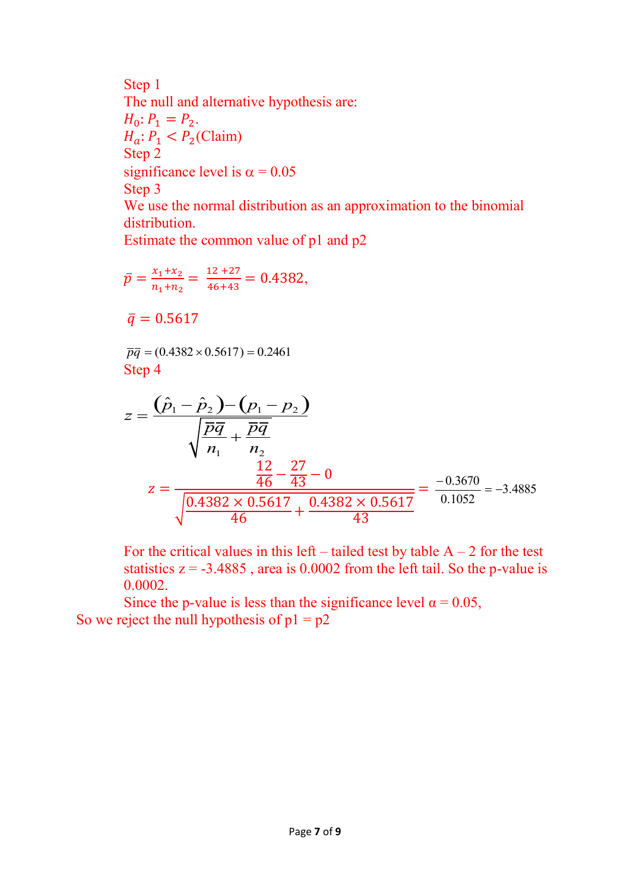Step 1 The null and alternative hypothesis are:  $H_0: P_1 = P_2.$  $H_a: P_1 < P_2$ (Claim) Step 2 significance level is  $\alpha = 0.05$ Step 3 We use the normal distribution as an approximation to the binomial distribution.

Estimate the common value of p1 and p2

$$
\bar{p} = \frac{x_1 + x_2}{n_1 + n_2} = \frac{12 + 27}{46 + 43} = 0.4382,
$$

 $\bar{q} = 0.5617$ 

 $\overline{pq}$  = (0.4382 × 0.5617) = 0.2461 Step 4

$$
z = \frac{(\hat{p}_1 - \hat{p}_2) - (p_1 - p_2)}{\sqrt{\frac{\overline{p}\overline{q}}{n_1} + \frac{\overline{p}\overline{q}}{n_2}}}
$$
  

$$
z = \frac{\frac{12}{46} - \frac{27}{43} - 0}{\sqrt{\frac{0.4382 \times 0.5617}{46} + \frac{0.4382 \times 0.5617}{43}}} = \frac{-0.3670}{0.1052} = -3.4885
$$

For the critical values in this left – tailed test by table  $A - 2$  for the test statistics  $z = -3.4885$ , area is 0.0002 from the left tail. So the p-value is 0.0002.

Since the p-value is less than the significance level  $\alpha = 0.05$ , So we reject the null hypothesis of  $p1 = p2$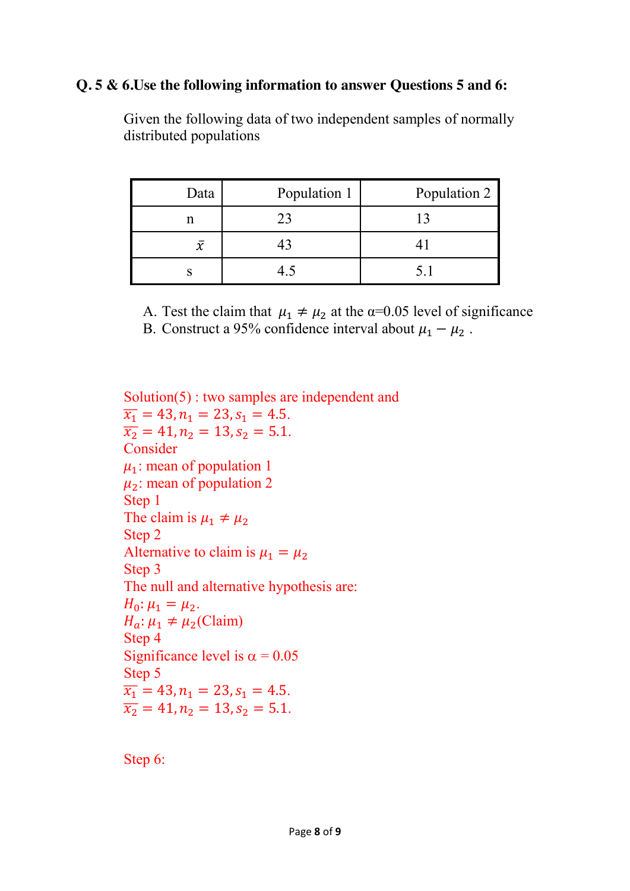#### **Q. 5 & 6.Use the following information to answer Questions 5 and 6:**

| Data         | Population 1 | Population 2 |
|--------------|--------------|--------------|
| n            | 23           |              |
| $\bar{\chi}$ |              |              |
|              | 45           |              |

Given the following data of two independent samples of normally distributed populations

A. Test the claim that  $\mu_1 \neq \mu_2$  at the  $\alpha=0.05$  level of significance

B. Construct a 95% confidence interval about  $\mu_1 - \mu_2$ .

Solution(5) : two samples are independent and  $\overline{x_1}$  = 43,  $n_1$  = 23,  $s_1$  = 4.5.  $\overline{x_2}$  = 41,  $n_2$  = 13,  $s_2$  = 5.1. Consider  $\mu_1$ : mean of population 1  $\mu_2$ : mean of population 2 Step 1 The claim is  $\mu_1 \neq \mu_2$ Step 2 Alternative to claim is  $\mu_1 = \mu_2$ Step 3 The null and alternative hypothesis are:  $H_0: \mu_1 = \mu_2.$  $H_a: \mu_1 \neq \mu_2$ (Claim) Step 4 Significance level is  $\alpha = 0.05$ Step 5  $\overline{x_1}$  = 43,  $n_1$  = 23,  $s_1$  = 4.5.  $\overline{x_2}$  = 41,  $n_2$  = 13,  $s_2$  = 5.1.

Step 6: